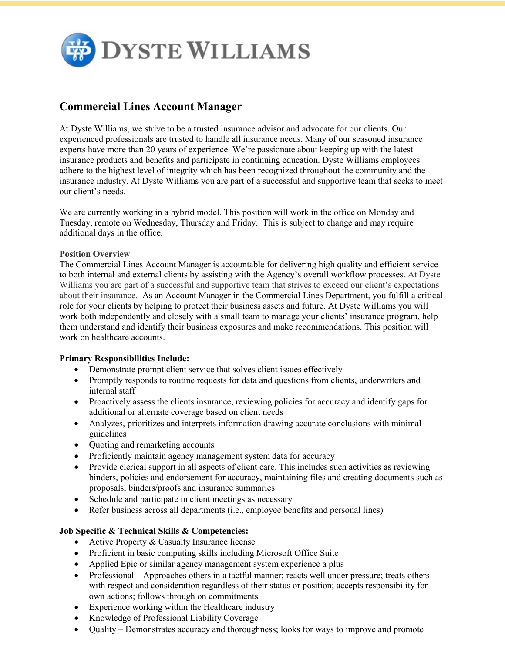

## **Commercial Lines Account Manager**

At Dyste Williams, we strive to be a trusted insurance advisor and advocate for our clients. Our experienced professionals are trusted to handle all insurance needs. Many of our seasoned insurance experts have more than 20 years of experience. We're passionate about keeping up with the latest insurance products and benefits and participate in continuing education. Dyste Williams employees adhere to the highest level of integrity which has been recognized throughout the community and the insurance industry. At Dyste Williams you are part of a successful and supportive team that seeks to meet our client's needs.

We are currently working in a hybrid model. This position will work in the office on Monday and Tuesday, remote on Wednesday, Thursday and Friday. This is subject to change and may require additional days in the office.

## **Position Overview**

The Commercial Lines Account Manager is accountable for delivering high quality and efficient service to both internal and external clients by assisting with the Agency's overall workflow processes. At Dyste Williams you are part of a successful and supportive team that strives to exceed our client's expectations about their insurance. As an Account Manager in the Commercial Lines Department, you fulfill a critical role for your clients by helping to protect their business assets and future. At Dyste Williams you will work both independently and closely with a small team to manage your clients' insurance program, help them understand and identify their business exposures and make recommendations. This position will work on healthcare accounts.

## **Primary Responsibilities Include:**

- Demonstrate prompt client service that solves client issues effectively
- Promptly responds to routine requests for data and questions from clients, underwriters and internal staff
- Proactively assess the clients insurance, reviewing policies for accuracy and identify gaps for additional or alternate coverage based on client needs
- Analyzes, prioritizes and interprets information drawing accurate conclusions with minimal guidelines
- Quoting and remarketing accounts
- Proficiently maintain agency management system data for accuracy
- Provide clerical support in all aspects of client care. This includes such activities as reviewing binders, policies and endorsement for accuracy, maintaining files and creating documents such as proposals, binders/proofs and insurance summaries
- Schedule and participate in client meetings as necessary
- Refer business across all departments (i.e., employee benefits and personal lines)

## **Job Specific & Technical Skills & Competencies:**

- Active Property & Casualty Insurance license
- Proficient in basic computing skills including Microsoft Office Suite
- Applied Epic or similar agency management system experience a plus
- Professional Approaches others in a tactful manner; reacts well under pressure; treats others with respect and consideration regardless of their status or position; accepts responsibility for own actions; follows through on commitments
- Experience working within the Healthcare industry
- Knowledge of Professional Liability Coverage
- Ouality Demonstrates accuracy and thoroughness; looks for ways to improve and promote